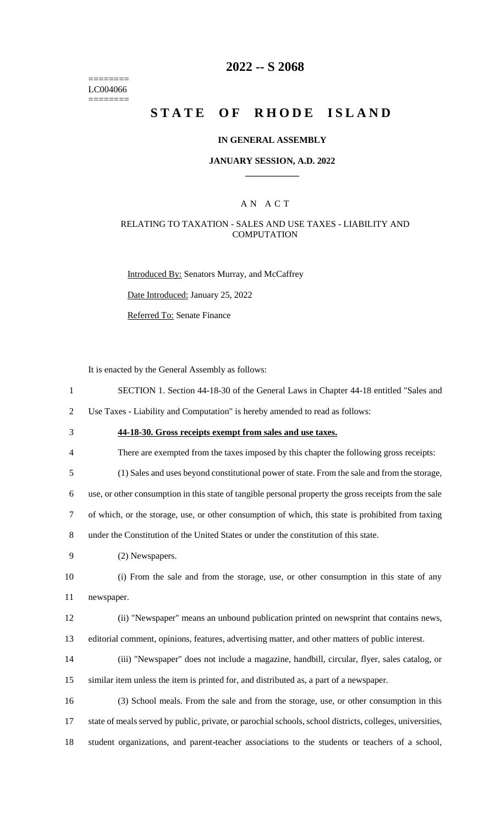======== LC004066 ========

# **2022 -- S 2068**

# **STATE OF RHODE ISLAND**

#### **IN GENERAL ASSEMBLY**

#### **JANUARY SESSION, A.D. 2022 \_\_\_\_\_\_\_\_\_\_\_\_**

### A N A C T

### RELATING TO TAXATION - SALES AND USE TAXES - LIABILITY AND **COMPUTATION**

Introduced By: Senators Murray, and McCaffrey

Date Introduced: January 25, 2022

Referred To: Senate Finance

It is enacted by the General Assembly as follows:

1 SECTION 1. Section 44-18-30 of the General Laws in Chapter 44-18 entitled "Sales and

2 Use Taxes - Liability and Computation" is hereby amended to read as follows:

- 3 **44-18-30. Gross receipts exempt from sales and use taxes.**
- 4 There are exempted from the taxes imposed by this chapter the following gross receipts:

5 (1) Sales and uses beyond constitutional power of state. From the sale and from the storage,

6 use, or other consumption in this state of tangible personal property the gross receipts from the sale

7 of which, or the storage, use, or other consumption of which, this state is prohibited from taxing

8 under the Constitution of the United States or under the constitution of this state.

9 (2) Newspapers.

10 (i) From the sale and from the storage, use, or other consumption in this state of any 11 newspaper.

12 (ii) "Newspaper" means an unbound publication printed on newsprint that contains news, 13 editorial comment, opinions, features, advertising matter, and other matters of public interest.

14 (iii) "Newspaper" does not include a magazine, handbill, circular, flyer, sales catalog, or 15 similar item unless the item is printed for, and distributed as, a part of a newspaper.

16 (3) School meals. From the sale and from the storage, use, or other consumption in this 17 state of meals served by public, private, or parochial schools, school districts, colleges, universities, 18 student organizations, and parent-teacher associations to the students or teachers of a school,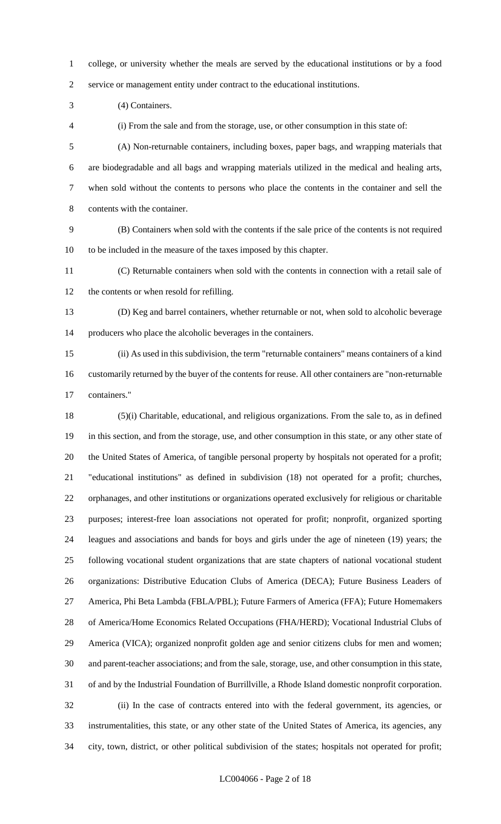college, or university whether the meals are served by the educational institutions or by a food service or management entity under contract to the educational institutions.

(4) Containers.

(i) From the sale and from the storage, use, or other consumption in this state of:

 (A) Non-returnable containers, including boxes, paper bags, and wrapping materials that are biodegradable and all bags and wrapping materials utilized in the medical and healing arts, when sold without the contents to persons who place the contents in the container and sell the contents with the container.

 (B) Containers when sold with the contents if the sale price of the contents is not required to be included in the measure of the taxes imposed by this chapter.

 (C) Returnable containers when sold with the contents in connection with a retail sale of the contents or when resold for refilling.

 (D) Keg and barrel containers, whether returnable or not, when sold to alcoholic beverage producers who place the alcoholic beverages in the containers.

 (ii) As used in this subdivision, the term "returnable containers" means containers of a kind customarily returned by the buyer of the contents for reuse. All other containers are "non-returnable containers."

 (5)(i) Charitable, educational, and religious organizations. From the sale to, as in defined in this section, and from the storage, use, and other consumption in this state, or any other state of the United States of America, of tangible personal property by hospitals not operated for a profit; "educational institutions" as defined in subdivision (18) not operated for a profit; churches, orphanages, and other institutions or organizations operated exclusively for religious or charitable purposes; interest-free loan associations not operated for profit; nonprofit, organized sporting leagues and associations and bands for boys and girls under the age of nineteen (19) years; the following vocational student organizations that are state chapters of national vocational student organizations: Distributive Education Clubs of America (DECA); Future Business Leaders of America, Phi Beta Lambda (FBLA/PBL); Future Farmers of America (FFA); Future Homemakers of America/Home Economics Related Occupations (FHA/HERD); Vocational Industrial Clubs of America (VICA); organized nonprofit golden age and senior citizens clubs for men and women; and parent-teacher associations; and from the sale, storage, use, and other consumption in this state, of and by the Industrial Foundation of Burrillville, a Rhode Island domestic nonprofit corporation. (ii) In the case of contracts entered into with the federal government, its agencies, or instrumentalities, this state, or any other state of the United States of America, its agencies, any city, town, district, or other political subdivision of the states; hospitals not operated for profit;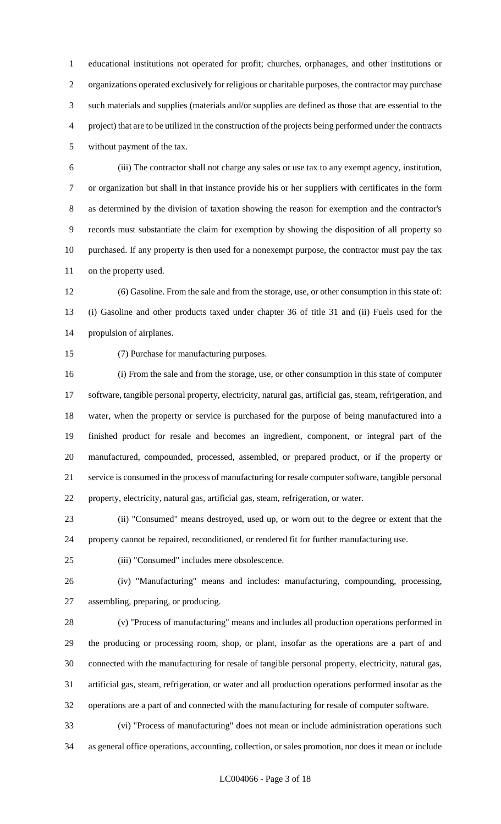educational institutions not operated for profit; churches, orphanages, and other institutions or organizations operated exclusively for religious or charitable purposes, the contractor may purchase such materials and supplies (materials and/or supplies are defined as those that are essential to the project) that are to be utilized in the construction of the projects being performed under the contracts without payment of the tax.

 (iii) The contractor shall not charge any sales or use tax to any exempt agency, institution, or organization but shall in that instance provide his or her suppliers with certificates in the form as determined by the division of taxation showing the reason for exemption and the contractor's records must substantiate the claim for exemption by showing the disposition of all property so purchased. If any property is then used for a nonexempt purpose, the contractor must pay the tax on the property used.

 (6) Gasoline. From the sale and from the storage, use, or other consumption in this state of: (i) Gasoline and other products taxed under chapter 36 of title 31 and (ii) Fuels used for the propulsion of airplanes.

(7) Purchase for manufacturing purposes.

 (i) From the sale and from the storage, use, or other consumption in this state of computer software, tangible personal property, electricity, natural gas, artificial gas, steam, refrigeration, and water, when the property or service is purchased for the purpose of being manufactured into a finished product for resale and becomes an ingredient, component, or integral part of the manufactured, compounded, processed, assembled, or prepared product, or if the property or service is consumed in the process of manufacturing for resale computer software, tangible personal property, electricity, natural gas, artificial gas, steam, refrigeration, or water.

 (ii) "Consumed" means destroyed, used up, or worn out to the degree or extent that the property cannot be repaired, reconditioned, or rendered fit for further manufacturing use.

(iii) "Consumed" includes mere obsolescence.

 (iv) "Manufacturing" means and includes: manufacturing, compounding, processing, assembling, preparing, or producing.

 (v) "Process of manufacturing" means and includes all production operations performed in the producing or processing room, shop, or plant, insofar as the operations are a part of and connected with the manufacturing for resale of tangible personal property, electricity, natural gas, artificial gas, steam, refrigeration, or water and all production operations performed insofar as the operations are a part of and connected with the manufacturing for resale of computer software.

 (vi) "Process of manufacturing" does not mean or include administration operations such as general office operations, accounting, collection, or sales promotion, nor does it mean or include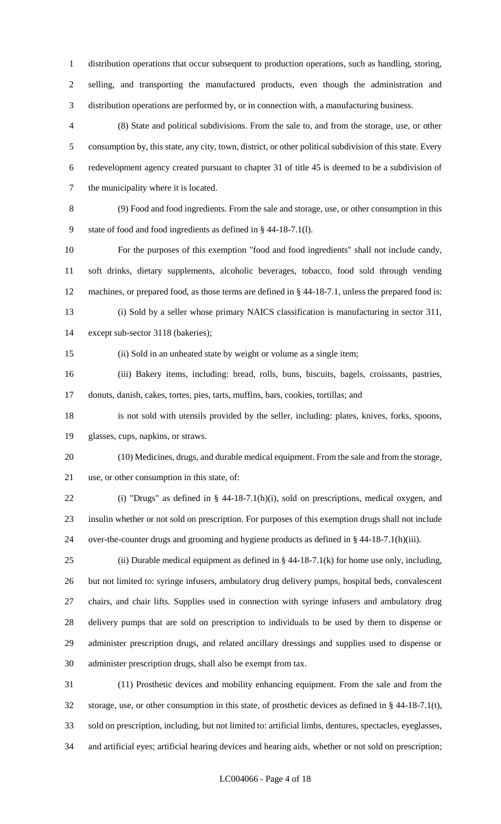distribution operations that occur subsequent to production operations, such as handling, storing, selling, and transporting the manufactured products, even though the administration and distribution operations are performed by, or in connection with, a manufacturing business.

 (8) State and political subdivisions. From the sale to, and from the storage, use, or other consumption by, this state, any city, town, district, or other political subdivision of this state. Every redevelopment agency created pursuant to chapter 31 of title 45 is deemed to be a subdivision of the municipality where it is located.

 (9) Food and food ingredients. From the sale and storage, use, or other consumption in this state of food and food ingredients as defined in § 44-18-7.1(l).

 For the purposes of this exemption "food and food ingredients" shall not include candy, soft drinks, dietary supplements, alcoholic beverages, tobacco, food sold through vending machines, or prepared food, as those terms are defined in § 44-18-7.1, unless the prepared food is: (i) Sold by a seller whose primary NAICS classification is manufacturing in sector 311,

except sub-sector 3118 (bakeries);

(ii) Sold in an unheated state by weight or volume as a single item;

 (iii) Bakery items, including: bread, rolls, buns, biscuits, bagels, croissants, pastries, donuts, danish, cakes, tortes, pies, tarts, muffins, bars, cookies, tortillas; and

 is not sold with utensils provided by the seller, including: plates, knives, forks, spoons, glasses, cups, napkins, or straws.

 (10) Medicines, drugs, and durable medical equipment. From the sale and from the storage, use, or other consumption in this state, of:

 (i) "Drugs" as defined in § 44-18-7.1(h)(i), sold on prescriptions, medical oxygen, and insulin whether or not sold on prescription. For purposes of this exemption drugs shall not include over-the-counter drugs and grooming and hygiene products as defined in § 44-18-7.1(h)(iii).

25 (ii) Durable medical equipment as defined in  $\S$  44-18-7.1(k) for home use only, including, but not limited to: syringe infusers, ambulatory drug delivery pumps, hospital beds, convalescent chairs, and chair lifts. Supplies used in connection with syringe infusers and ambulatory drug delivery pumps that are sold on prescription to individuals to be used by them to dispense or administer prescription drugs, and related ancillary dressings and supplies used to dispense or administer prescription drugs, shall also be exempt from tax.

 (11) Prosthetic devices and mobility enhancing equipment. From the sale and from the storage, use, or other consumption in this state, of prosthetic devices as defined in § 44-18-7.1(t), sold on prescription, including, but not limited to: artificial limbs, dentures, spectacles, eyeglasses, and artificial eyes; artificial hearing devices and hearing aids, whether or not sold on prescription;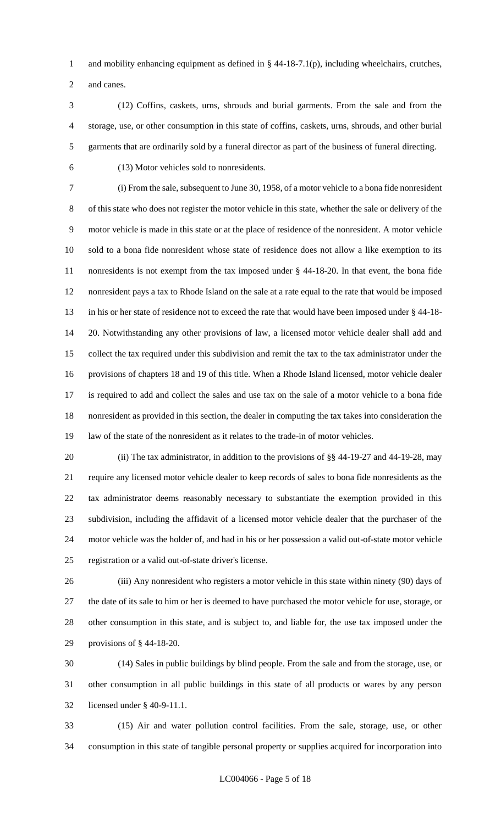and mobility enhancing equipment as defined in § 44-18-7.1(p), including wheelchairs, crutches, and canes.

 (12) Coffins, caskets, urns, shrouds and burial garments. From the sale and from the storage, use, or other consumption in this state of coffins, caskets, urns, shrouds, and other burial garments that are ordinarily sold by a funeral director as part of the business of funeral directing.

(13) Motor vehicles sold to nonresidents.

 (i) From the sale, subsequent to June 30, 1958, of a motor vehicle to a bona fide nonresident of this state who does not register the motor vehicle in this state, whether the sale or delivery of the motor vehicle is made in this state or at the place of residence of the nonresident. A motor vehicle sold to a bona fide nonresident whose state of residence does not allow a like exemption to its nonresidents is not exempt from the tax imposed under § 44-18-20. In that event, the bona fide nonresident pays a tax to Rhode Island on the sale at a rate equal to the rate that would be imposed in his or her state of residence not to exceed the rate that would have been imposed under § 44-18- 20. Notwithstanding any other provisions of law, a licensed motor vehicle dealer shall add and collect the tax required under this subdivision and remit the tax to the tax administrator under the provisions of chapters 18 and 19 of this title. When a Rhode Island licensed, motor vehicle dealer is required to add and collect the sales and use tax on the sale of a motor vehicle to a bona fide nonresident as provided in this section, the dealer in computing the tax takes into consideration the law of the state of the nonresident as it relates to the trade-in of motor vehicles.

20 (ii) The tax administrator, in addition to the provisions of §§ 44-19-27 and 44-19-28, may require any licensed motor vehicle dealer to keep records of sales to bona fide nonresidents as the tax administrator deems reasonably necessary to substantiate the exemption provided in this subdivision, including the affidavit of a licensed motor vehicle dealer that the purchaser of the motor vehicle was the holder of, and had in his or her possession a valid out-of-state motor vehicle registration or a valid out-of-state driver's license.

 (iii) Any nonresident who registers a motor vehicle in this state within ninety (90) days of the date of its sale to him or her is deemed to have purchased the motor vehicle for use, storage, or other consumption in this state, and is subject to, and liable for, the use tax imposed under the provisions of § 44-18-20.

 (14) Sales in public buildings by blind people. From the sale and from the storage, use, or other consumption in all public buildings in this state of all products or wares by any person licensed under § 40-9-11.1.

 (15) Air and water pollution control facilities. From the sale, storage, use, or other consumption in this state of tangible personal property or supplies acquired for incorporation into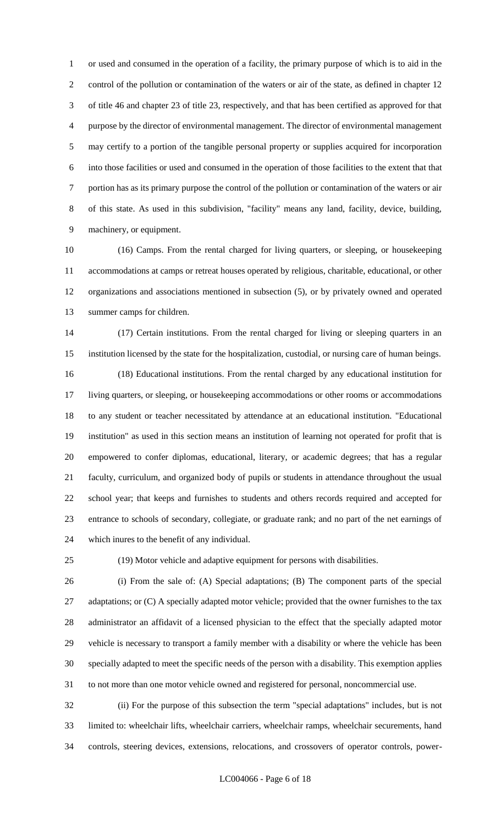or used and consumed in the operation of a facility, the primary purpose of which is to aid in the control of the pollution or contamination of the waters or air of the state, as defined in chapter 12 of title 46 and chapter 23 of title 23, respectively, and that has been certified as approved for that purpose by the director of environmental management. The director of environmental management may certify to a portion of the tangible personal property or supplies acquired for incorporation into those facilities or used and consumed in the operation of those facilities to the extent that that portion has as its primary purpose the control of the pollution or contamination of the waters or air of this state. As used in this subdivision, "facility" means any land, facility, device, building, machinery, or equipment.

 (16) Camps. From the rental charged for living quarters, or sleeping, or housekeeping accommodations at camps or retreat houses operated by religious, charitable, educational, or other organizations and associations mentioned in subsection (5), or by privately owned and operated summer camps for children.

 (17) Certain institutions. From the rental charged for living or sleeping quarters in an institution licensed by the state for the hospitalization, custodial, or nursing care of human beings. (18) Educational institutions. From the rental charged by any educational institution for living quarters, or sleeping, or housekeeping accommodations or other rooms or accommodations to any student or teacher necessitated by attendance at an educational institution. "Educational institution" as used in this section means an institution of learning not operated for profit that is empowered to confer diplomas, educational, literary, or academic degrees; that has a regular faculty, curriculum, and organized body of pupils or students in attendance throughout the usual school year; that keeps and furnishes to students and others records required and accepted for entrance to schools of secondary, collegiate, or graduate rank; and no part of the net earnings of which inures to the benefit of any individual.

(19) Motor vehicle and adaptive equipment for persons with disabilities.

 (i) From the sale of: (A) Special adaptations; (B) The component parts of the special 27 adaptations; or (C) A specially adapted motor vehicle; provided that the owner furnishes to the tax administrator an affidavit of a licensed physician to the effect that the specially adapted motor vehicle is necessary to transport a family member with a disability or where the vehicle has been specially adapted to meet the specific needs of the person with a disability. This exemption applies to not more than one motor vehicle owned and registered for personal, noncommercial use.

 (ii) For the purpose of this subsection the term "special adaptations" includes, but is not limited to: wheelchair lifts, wheelchair carriers, wheelchair ramps, wheelchair securements, hand controls, steering devices, extensions, relocations, and crossovers of operator controls, power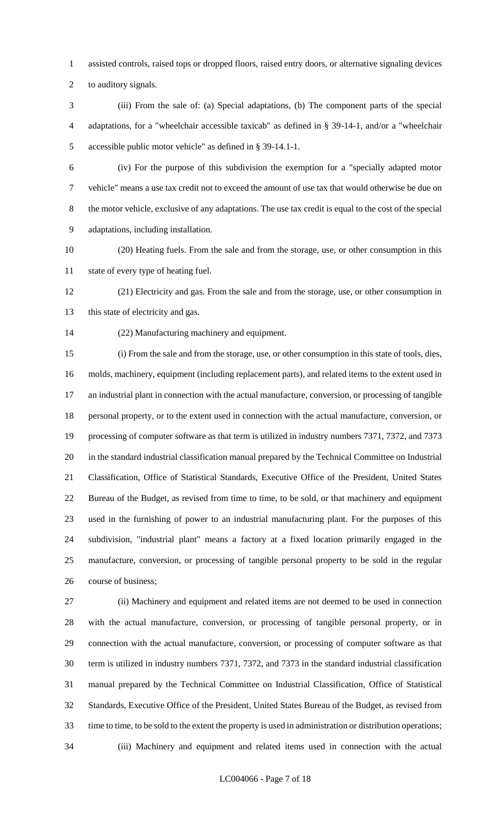assisted controls, raised tops or dropped floors, raised entry doors, or alternative signaling devices

to auditory signals.

 (iii) From the sale of: (a) Special adaptations, (b) The component parts of the special adaptations, for a "wheelchair accessible taxicab" as defined in § 39-14-1, and/or a "wheelchair accessible public motor vehicle" as defined in § 39-14.1-1.

 (iv) For the purpose of this subdivision the exemption for a "specially adapted motor vehicle" means a use tax credit not to exceed the amount of use tax that would otherwise be due on the motor vehicle, exclusive of any adaptations. The use tax credit is equal to the cost of the special adaptations, including installation.

 (20) Heating fuels. From the sale and from the storage, use, or other consumption in this state of every type of heating fuel.

 (21) Electricity and gas. From the sale and from the storage, use, or other consumption in 13 this state of electricity and gas.

(22) Manufacturing machinery and equipment.

 (i) From the sale and from the storage, use, or other consumption in this state of tools, dies, molds, machinery, equipment (including replacement parts), and related items to the extent used in an industrial plant in connection with the actual manufacture, conversion, or processing of tangible personal property, or to the extent used in connection with the actual manufacture, conversion, or processing of computer software as that term is utilized in industry numbers 7371, 7372, and 7373 in the standard industrial classification manual prepared by the Technical Committee on Industrial Classification, Office of Statistical Standards, Executive Office of the President, United States Bureau of the Budget, as revised from time to time, to be sold, or that machinery and equipment used in the furnishing of power to an industrial manufacturing plant. For the purposes of this subdivision, "industrial plant" means a factory at a fixed location primarily engaged in the manufacture, conversion, or processing of tangible personal property to be sold in the regular course of business;

 (ii) Machinery and equipment and related items are not deemed to be used in connection with the actual manufacture, conversion, or processing of tangible personal property, or in connection with the actual manufacture, conversion, or processing of computer software as that term is utilized in industry numbers 7371, 7372, and 7373 in the standard industrial classification manual prepared by the Technical Committee on Industrial Classification, Office of Statistical Standards, Executive Office of the President, United States Bureau of the Budget, as revised from time to time, to be sold to the extent the property is used in administration or distribution operations; (iii) Machinery and equipment and related items used in connection with the actual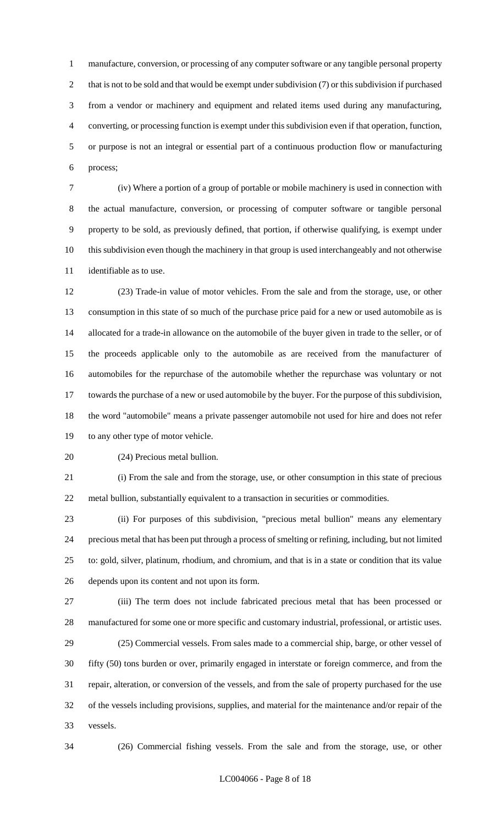manufacture, conversion, or processing of any computer software or any tangible personal property 2 that is not to be sold and that would be exempt under subdivision (7) or this subdivision if purchased from a vendor or machinery and equipment and related items used during any manufacturing, converting, or processing function is exempt under this subdivision even if that operation, function, or purpose is not an integral or essential part of a continuous production flow or manufacturing process;

 (iv) Where a portion of a group of portable or mobile machinery is used in connection with the actual manufacture, conversion, or processing of computer software or tangible personal property to be sold, as previously defined, that portion, if otherwise qualifying, is exempt under this subdivision even though the machinery in that group is used interchangeably and not otherwise identifiable as to use.

 (23) Trade-in value of motor vehicles. From the sale and from the storage, use, or other consumption in this state of so much of the purchase price paid for a new or used automobile as is allocated for a trade-in allowance on the automobile of the buyer given in trade to the seller, or of the proceeds applicable only to the automobile as are received from the manufacturer of automobiles for the repurchase of the automobile whether the repurchase was voluntary or not towards the purchase of a new or used automobile by the buyer. For the purpose of this subdivision, the word "automobile" means a private passenger automobile not used for hire and does not refer to any other type of motor vehicle.

(24) Precious metal bullion.

 (i) From the sale and from the storage, use, or other consumption in this state of precious metal bullion, substantially equivalent to a transaction in securities or commodities.

 (ii) For purposes of this subdivision, "precious metal bullion" means any elementary precious metal that has been put through a process of smelting or refining, including, but not limited to: gold, silver, platinum, rhodium, and chromium, and that is in a state or condition that its value depends upon its content and not upon its form.

 (iii) The term does not include fabricated precious metal that has been processed or manufactured for some one or more specific and customary industrial, professional, or artistic uses. (25) Commercial vessels. From sales made to a commercial ship, barge, or other vessel of

 fifty (50) tons burden or over, primarily engaged in interstate or foreign commerce, and from the repair, alteration, or conversion of the vessels, and from the sale of property purchased for the use of the vessels including provisions, supplies, and material for the maintenance and/or repair of the vessels.

(26) Commercial fishing vessels. From the sale and from the storage, use, or other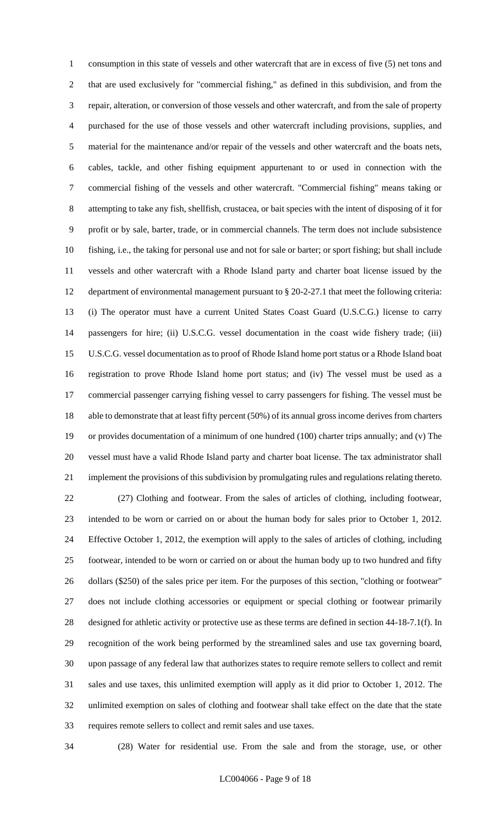consumption in this state of vessels and other watercraft that are in excess of five (5) net tons and that are used exclusively for "commercial fishing," as defined in this subdivision, and from the repair, alteration, or conversion of those vessels and other watercraft, and from the sale of property purchased for the use of those vessels and other watercraft including provisions, supplies, and material for the maintenance and/or repair of the vessels and other watercraft and the boats nets, cables, tackle, and other fishing equipment appurtenant to or used in connection with the commercial fishing of the vessels and other watercraft. "Commercial fishing" means taking or attempting to take any fish, shellfish, crustacea, or bait species with the intent of disposing of it for profit or by sale, barter, trade, or in commercial channels. The term does not include subsistence fishing, i.e., the taking for personal use and not for sale or barter; or sport fishing; but shall include vessels and other watercraft with a Rhode Island party and charter boat license issued by the department of environmental management pursuant to § 20-2-27.1 that meet the following criteria: (i) The operator must have a current United States Coast Guard (U.S.C.G.) license to carry passengers for hire; (ii) U.S.C.G. vessel documentation in the coast wide fishery trade; (iii) U.S.C.G. vessel documentation as to proof of Rhode Island home port status or a Rhode Island boat registration to prove Rhode Island home port status; and (iv) The vessel must be used as a commercial passenger carrying fishing vessel to carry passengers for fishing. The vessel must be able to demonstrate that at least fifty percent (50%) of its annual gross income derives from charters or provides documentation of a minimum of one hundred (100) charter trips annually; and (v) The vessel must have a valid Rhode Island party and charter boat license. The tax administrator shall implement the provisions of this subdivision by promulgating rules and regulations relating thereto. (27) Clothing and footwear. From the sales of articles of clothing, including footwear, intended to be worn or carried on or about the human body for sales prior to October 1, 2012. Effective October 1, 2012, the exemption will apply to the sales of articles of clothing, including footwear, intended to be worn or carried on or about the human body up to two hundred and fifty dollars (\$250) of the sales price per item. For the purposes of this section, "clothing or footwear" does not include clothing accessories or equipment or special clothing or footwear primarily designed for athletic activity or protective use as these terms are defined in section 44-18-7.1(f). In recognition of the work being performed by the streamlined sales and use tax governing board, upon passage of any federal law that authorizes states to require remote sellers to collect and remit sales and use taxes, this unlimited exemption will apply as it did prior to October 1, 2012. The unlimited exemption on sales of clothing and footwear shall take effect on the date that the state requires remote sellers to collect and remit sales and use taxes.

(28) Water for residential use. From the sale and from the storage, use, or other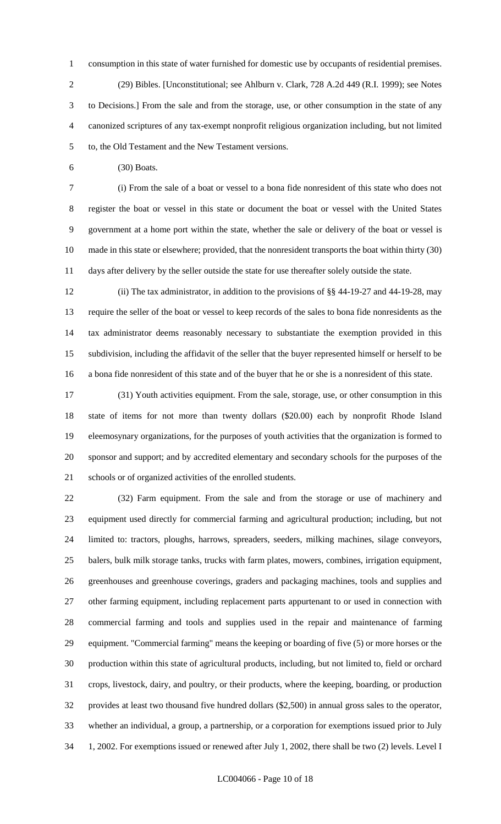consumption in this state of water furnished for domestic use by occupants of residential premises. (29) Bibles. [Unconstitutional; see Ahlburn v. Clark, 728 A.2d 449 (R.I. 1999); see Notes to Decisions.] From the sale and from the storage, use, or other consumption in the state of any canonized scriptures of any tax-exempt nonprofit religious organization including, but not limited to, the Old Testament and the New Testament versions.

(30) Boats.

 (i) From the sale of a boat or vessel to a bona fide nonresident of this state who does not register the boat or vessel in this state or document the boat or vessel with the United States government at a home port within the state, whether the sale or delivery of the boat or vessel is made in this state or elsewhere; provided, that the nonresident transports the boat within thirty (30) days after delivery by the seller outside the state for use thereafter solely outside the state.

 (ii) The tax administrator, in addition to the provisions of §§ 44-19-27 and 44-19-28, may require the seller of the boat or vessel to keep records of the sales to bona fide nonresidents as the tax administrator deems reasonably necessary to substantiate the exemption provided in this subdivision, including the affidavit of the seller that the buyer represented himself or herself to be a bona fide nonresident of this state and of the buyer that he or she is a nonresident of this state.

 (31) Youth activities equipment. From the sale, storage, use, or other consumption in this state of items for not more than twenty dollars (\$20.00) each by nonprofit Rhode Island eleemosynary organizations, for the purposes of youth activities that the organization is formed to sponsor and support; and by accredited elementary and secondary schools for the purposes of the schools or of organized activities of the enrolled students.

 (32) Farm equipment. From the sale and from the storage or use of machinery and equipment used directly for commercial farming and agricultural production; including, but not limited to: tractors, ploughs, harrows, spreaders, seeders, milking machines, silage conveyors, balers, bulk milk storage tanks, trucks with farm plates, mowers, combines, irrigation equipment, greenhouses and greenhouse coverings, graders and packaging machines, tools and supplies and other farming equipment, including replacement parts appurtenant to or used in connection with commercial farming and tools and supplies used in the repair and maintenance of farming equipment. "Commercial farming" means the keeping or boarding of five (5) or more horses or the production within this state of agricultural products, including, but not limited to, field or orchard crops, livestock, dairy, and poultry, or their products, where the keeping, boarding, or production provides at least two thousand five hundred dollars (\$2,500) in annual gross sales to the operator, whether an individual, a group, a partnership, or a corporation for exemptions issued prior to July 1, 2002. For exemptions issued or renewed after July 1, 2002, there shall be two (2) levels. Level I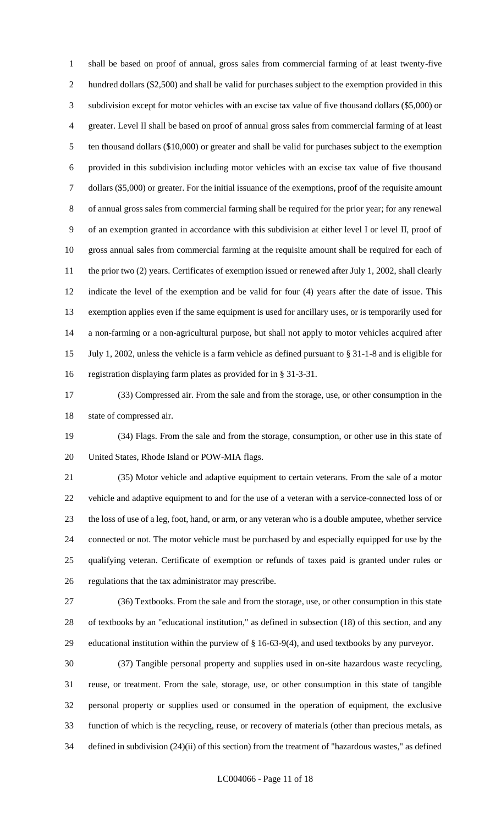shall be based on proof of annual, gross sales from commercial farming of at least twenty-five hundred dollars (\$2,500) and shall be valid for purchases subject to the exemption provided in this subdivision except for motor vehicles with an excise tax value of five thousand dollars (\$5,000) or greater. Level II shall be based on proof of annual gross sales from commercial farming of at least ten thousand dollars (\$10,000) or greater and shall be valid for purchases subject to the exemption provided in this subdivision including motor vehicles with an excise tax value of five thousand dollars (\$5,000) or greater. For the initial issuance of the exemptions, proof of the requisite amount of annual gross sales from commercial farming shall be required for the prior year; for any renewal of an exemption granted in accordance with this subdivision at either level I or level II, proof of gross annual sales from commercial farming at the requisite amount shall be required for each of 11 the prior two (2) years. Certificates of exemption issued or renewed after July 1, 2002, shall clearly indicate the level of the exemption and be valid for four (4) years after the date of issue. This exemption applies even if the same equipment is used for ancillary uses, or is temporarily used for a non-farming or a non-agricultural purpose, but shall not apply to motor vehicles acquired after July 1, 2002, unless the vehicle is a farm vehicle as defined pursuant to § 31-1-8 and is eligible for registration displaying farm plates as provided for in § 31-3-31.

 (33) Compressed air. From the sale and from the storage, use, or other consumption in the state of compressed air.

 (34) Flags. From the sale and from the storage, consumption, or other use in this state of United States, Rhode Island or POW-MIA flags.

 (35) Motor vehicle and adaptive equipment to certain veterans. From the sale of a motor vehicle and adaptive equipment to and for the use of a veteran with a service-connected loss of or the loss of use of a leg, foot, hand, or arm, or any veteran who is a double amputee, whether service connected or not. The motor vehicle must be purchased by and especially equipped for use by the qualifying veteran. Certificate of exemption or refunds of taxes paid is granted under rules or regulations that the tax administrator may prescribe.

 (36) Textbooks. From the sale and from the storage, use, or other consumption in this state of textbooks by an "educational institution," as defined in subsection (18) of this section, and any educational institution within the purview of § 16-63-9(4), and used textbooks by any purveyor.

 (37) Tangible personal property and supplies used in on-site hazardous waste recycling, reuse, or treatment. From the sale, storage, use, or other consumption in this state of tangible personal property or supplies used or consumed in the operation of equipment, the exclusive function of which is the recycling, reuse, or recovery of materials (other than precious metals, as defined in subdivision (24)(ii) of this section) from the treatment of "hazardous wastes," as defined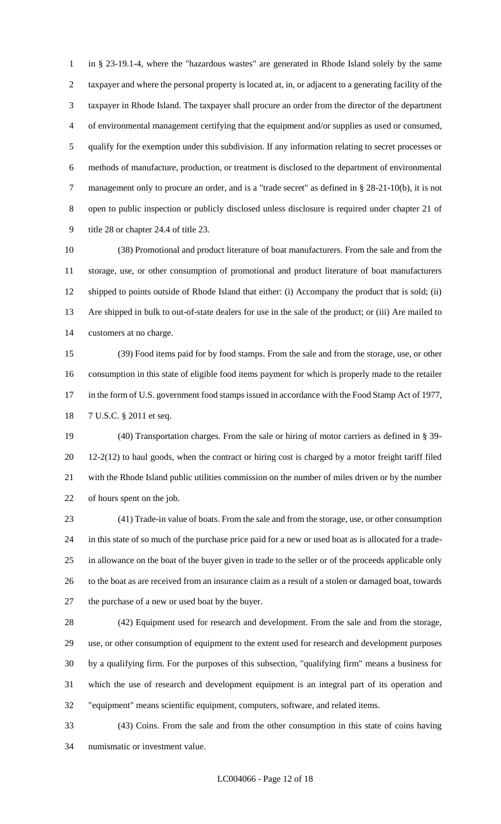in § 23-19.1-4, where the "hazardous wastes" are generated in Rhode Island solely by the same taxpayer and where the personal property is located at, in, or adjacent to a generating facility of the taxpayer in Rhode Island. The taxpayer shall procure an order from the director of the department of environmental management certifying that the equipment and/or supplies as used or consumed, qualify for the exemption under this subdivision. If any information relating to secret processes or methods of manufacture, production, or treatment is disclosed to the department of environmental management only to procure an order, and is a "trade secret" as defined in § 28-21-10(b), it is not open to public inspection or publicly disclosed unless disclosure is required under chapter 21 of title 28 or chapter 24.4 of title 23.

 (38) Promotional and product literature of boat manufacturers. From the sale and from the storage, use, or other consumption of promotional and product literature of boat manufacturers shipped to points outside of Rhode Island that either: (i) Accompany the product that is sold; (ii) Are shipped in bulk to out-of-state dealers for use in the sale of the product; or (iii) Are mailed to customers at no charge.

 (39) Food items paid for by food stamps. From the sale and from the storage, use, or other consumption in this state of eligible food items payment for which is properly made to the retailer 17 in the form of U.S. government food stamps issued in accordance with the Food Stamp Act of 1977, 7 U.S.C. § 2011 et seq.

 (40) Transportation charges. From the sale or hiring of motor carriers as defined in § 39- 12-2(12) to haul goods, when the contract or hiring cost is charged by a motor freight tariff filed with the Rhode Island public utilities commission on the number of miles driven or by the number of hours spent on the job.

 (41) Trade-in value of boats. From the sale and from the storage, use, or other consumption in this state of so much of the purchase price paid for a new or used boat as is allocated for a trade- in allowance on the boat of the buyer given in trade to the seller or of the proceeds applicable only to the boat as are received from an insurance claim as a result of a stolen or damaged boat, towards the purchase of a new or used boat by the buyer.

 (42) Equipment used for research and development. From the sale and from the storage, use, or other consumption of equipment to the extent used for research and development purposes by a qualifying firm. For the purposes of this subsection, "qualifying firm" means a business for which the use of research and development equipment is an integral part of its operation and "equipment" means scientific equipment, computers, software, and related items.

 (43) Coins. From the sale and from the other consumption in this state of coins having numismatic or investment value.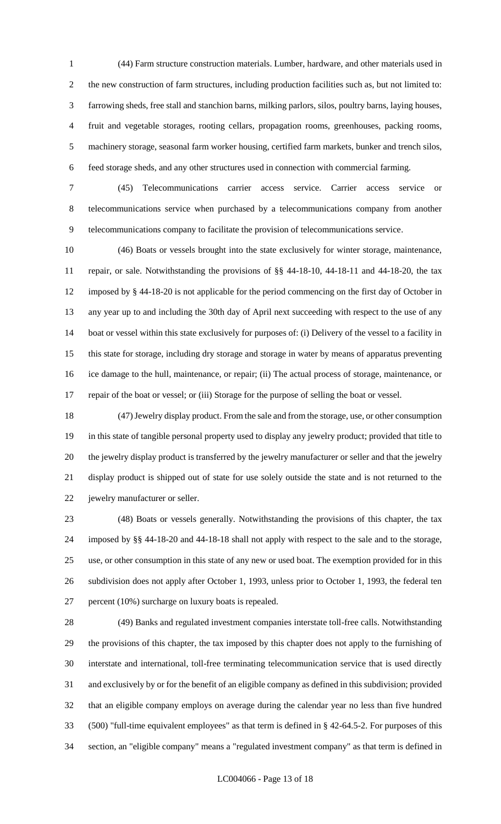(44) Farm structure construction materials. Lumber, hardware, and other materials used in the new construction of farm structures, including production facilities such as, but not limited to: farrowing sheds, free stall and stanchion barns, milking parlors, silos, poultry barns, laying houses, fruit and vegetable storages, rooting cellars, propagation rooms, greenhouses, packing rooms, machinery storage, seasonal farm worker housing, certified farm markets, bunker and trench silos, feed storage sheds, and any other structures used in connection with commercial farming.

 (45) Telecommunications carrier access service. Carrier access service or telecommunications service when purchased by a telecommunications company from another telecommunications company to facilitate the provision of telecommunications service.

 (46) Boats or vessels brought into the state exclusively for winter storage, maintenance, repair, or sale. Notwithstanding the provisions of §§ 44-18-10, 44-18-11 and 44-18-20, the tax imposed by § 44-18-20 is not applicable for the period commencing on the first day of October in any year up to and including the 30th day of April next succeeding with respect to the use of any boat or vessel within this state exclusively for purposes of: (i) Delivery of the vessel to a facility in this state for storage, including dry storage and storage in water by means of apparatus preventing ice damage to the hull, maintenance, or repair; (ii) The actual process of storage, maintenance, or repair of the boat or vessel; or (iii) Storage for the purpose of selling the boat or vessel.

 (47) Jewelry display product. From the sale and from the storage, use, or other consumption in this state of tangible personal property used to display any jewelry product; provided that title to the jewelry display product is transferred by the jewelry manufacturer or seller and that the jewelry display product is shipped out of state for use solely outside the state and is not returned to the jewelry manufacturer or seller.

 (48) Boats or vessels generally. Notwithstanding the provisions of this chapter, the tax imposed by §§ 44-18-20 and 44-18-18 shall not apply with respect to the sale and to the storage, use, or other consumption in this state of any new or used boat. The exemption provided for in this subdivision does not apply after October 1, 1993, unless prior to October 1, 1993, the federal ten percent (10%) surcharge on luxury boats is repealed.

 (49) Banks and regulated investment companies interstate toll-free calls. Notwithstanding the provisions of this chapter, the tax imposed by this chapter does not apply to the furnishing of interstate and international, toll-free terminating telecommunication service that is used directly and exclusively by or for the benefit of an eligible company as defined in this subdivision; provided that an eligible company employs on average during the calendar year no less than five hundred (500) "full-time equivalent employees" as that term is defined in § 42-64.5-2. For purposes of this section, an "eligible company" means a "regulated investment company" as that term is defined in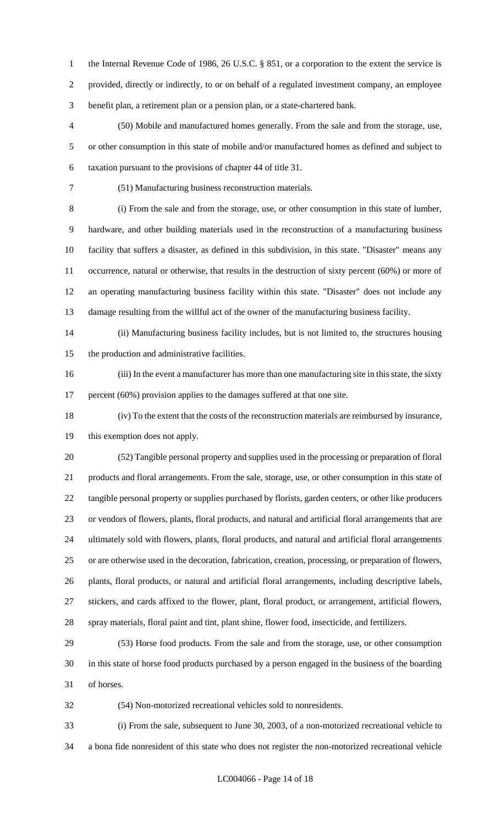1 the Internal Revenue Code of 1986, 26 U.S.C. § 851, or a corporation to the extent the service is provided, directly or indirectly, to or on behalf of a regulated investment company, an employee benefit plan, a retirement plan or a pension plan, or a state-chartered bank.

 (50) Mobile and manufactured homes generally. From the sale and from the storage, use, or other consumption in this state of mobile and/or manufactured homes as defined and subject to taxation pursuant to the provisions of chapter 44 of title 31.

(51) Manufacturing business reconstruction materials.

 (i) From the sale and from the storage, use, or other consumption in this state of lumber, hardware, and other building materials used in the reconstruction of a manufacturing business facility that suffers a disaster, as defined in this subdivision, in this state. "Disaster" means any occurrence, natural or otherwise, that results in the destruction of sixty percent (60%) or more of an operating manufacturing business facility within this state. "Disaster" does not include any damage resulting from the willful act of the owner of the manufacturing business facility.

 (ii) Manufacturing business facility includes, but is not limited to, the structures housing the production and administrative facilities.

 (iii) In the event a manufacturer has more than one manufacturing site in this state, the sixty 17 percent (60%) provision applies to the damages suffered at that one site.

 (iv) To the extent that the costs of the reconstruction materials are reimbursed by insurance, this exemption does not apply.

 (52) Tangible personal property and supplies used in the processing or preparation of floral products and floral arrangements. From the sale, storage, use, or other consumption in this state of tangible personal property or supplies purchased by florists, garden centers, or other like producers or vendors of flowers, plants, floral products, and natural and artificial floral arrangements that are ultimately sold with flowers, plants, floral products, and natural and artificial floral arrangements or are otherwise used in the decoration, fabrication, creation, processing, or preparation of flowers, plants, floral products, or natural and artificial floral arrangements, including descriptive labels, stickers, and cards affixed to the flower, plant, floral product, or arrangement, artificial flowers, spray materials, floral paint and tint, plant shine, flower food, insecticide, and fertilizers.

 (53) Horse food products. From the sale and from the storage, use, or other consumption in this state of horse food products purchased by a person engaged in the business of the boarding of horses.

(54) Non-motorized recreational vehicles sold to nonresidents.

 (i) From the sale, subsequent to June 30, 2003, of a non-motorized recreational vehicle to a bona fide nonresident of this state who does not register the non-motorized recreational vehicle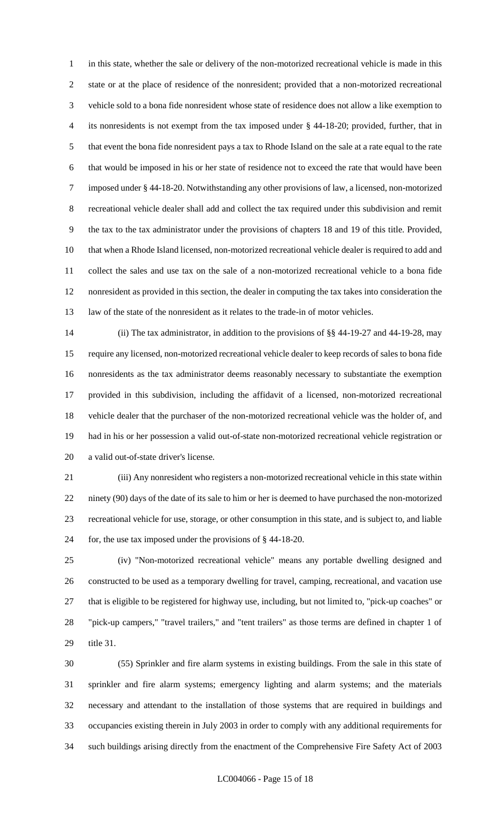in this state, whether the sale or delivery of the non-motorized recreational vehicle is made in this state or at the place of residence of the nonresident; provided that a non-motorized recreational vehicle sold to a bona fide nonresident whose state of residence does not allow a like exemption to its nonresidents is not exempt from the tax imposed under § 44-18-20; provided, further, that in that event the bona fide nonresident pays a tax to Rhode Island on the sale at a rate equal to the rate that would be imposed in his or her state of residence not to exceed the rate that would have been imposed under § 44-18-20. Notwithstanding any other provisions of law, a licensed, non-motorized recreational vehicle dealer shall add and collect the tax required under this subdivision and remit the tax to the tax administrator under the provisions of chapters 18 and 19 of this title. Provided, that when a Rhode Island licensed, non-motorized recreational vehicle dealer is required to add and collect the sales and use tax on the sale of a non-motorized recreational vehicle to a bona fide nonresident as provided in this section, the dealer in computing the tax takes into consideration the law of the state of the nonresident as it relates to the trade-in of motor vehicles.

 (ii) The tax administrator, in addition to the provisions of §§ 44-19-27 and 44-19-28, may require any licensed, non-motorized recreational vehicle dealer to keep records of sales to bona fide nonresidents as the tax administrator deems reasonably necessary to substantiate the exemption provided in this subdivision, including the affidavit of a licensed, non-motorized recreational vehicle dealer that the purchaser of the non-motorized recreational vehicle was the holder of, and had in his or her possession a valid out-of-state non-motorized recreational vehicle registration or a valid out-of-state driver's license.

 (iii) Any nonresident who registers a non-motorized recreational vehicle in this state within ninety (90) days of the date of its sale to him or her is deemed to have purchased the non-motorized recreational vehicle for use, storage, or other consumption in this state, and is subject to, and liable for, the use tax imposed under the provisions of § 44-18-20.

 (iv) "Non-motorized recreational vehicle" means any portable dwelling designed and constructed to be used as a temporary dwelling for travel, camping, recreational, and vacation use that is eligible to be registered for highway use, including, but not limited to, "pick-up coaches" or "pick-up campers," "travel trailers," and "tent trailers" as those terms are defined in chapter 1 of title 31.

 (55) Sprinkler and fire alarm systems in existing buildings. From the sale in this state of sprinkler and fire alarm systems; emergency lighting and alarm systems; and the materials necessary and attendant to the installation of those systems that are required in buildings and occupancies existing therein in July 2003 in order to comply with any additional requirements for such buildings arising directly from the enactment of the Comprehensive Fire Safety Act of 2003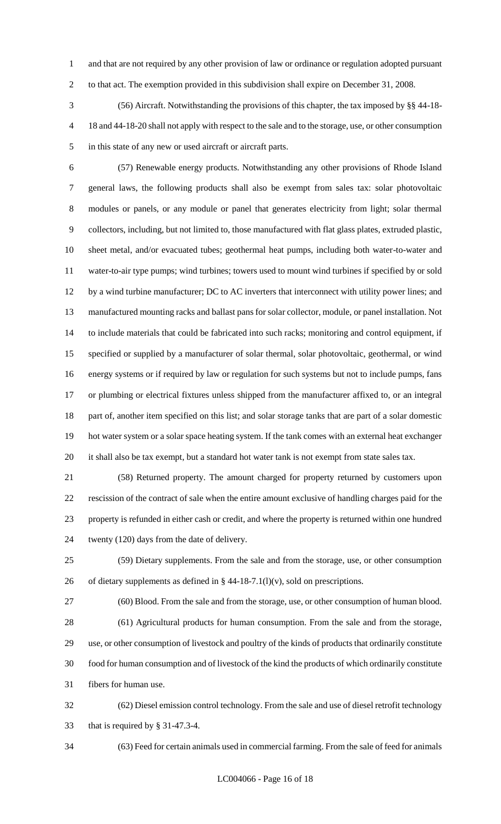and that are not required by any other provision of law or ordinance or regulation adopted pursuant to that act. The exemption provided in this subdivision shall expire on December 31, 2008.

 (56) Aircraft. Notwithstanding the provisions of this chapter, the tax imposed by §§ 44-18- 18 and 44-18-20 shall not apply with respect to the sale and to the storage, use, or other consumption in this state of any new or used aircraft or aircraft parts.

 (57) Renewable energy products. Notwithstanding any other provisions of Rhode Island general laws, the following products shall also be exempt from sales tax: solar photovoltaic modules or panels, or any module or panel that generates electricity from light; solar thermal collectors, including, but not limited to, those manufactured with flat glass plates, extruded plastic, sheet metal, and/or evacuated tubes; geothermal heat pumps, including both water-to-water and water-to-air type pumps; wind turbines; towers used to mount wind turbines if specified by or sold by a wind turbine manufacturer; DC to AC inverters that interconnect with utility power lines; and manufactured mounting racks and ballast pans for solar collector, module, or panel installation. Not to include materials that could be fabricated into such racks; monitoring and control equipment, if specified or supplied by a manufacturer of solar thermal, solar photovoltaic, geothermal, or wind energy systems or if required by law or regulation for such systems but not to include pumps, fans or plumbing or electrical fixtures unless shipped from the manufacturer affixed to, or an integral part of, another item specified on this list; and solar storage tanks that are part of a solar domestic hot water system or a solar space heating system. If the tank comes with an external heat exchanger it shall also be tax exempt, but a standard hot water tank is not exempt from state sales tax.

 (58) Returned property. The amount charged for property returned by customers upon rescission of the contract of sale when the entire amount exclusive of handling charges paid for the property is refunded in either cash or credit, and where the property is returned within one hundred twenty (120) days from the date of delivery.

 (59) Dietary supplements. From the sale and from the storage, use, or other consumption 26 of dietary supplements as defined in  $\S$  44-18-7.1(l)(v), sold on prescriptions.

 (60) Blood. From the sale and from the storage, use, or other consumption of human blood. (61) Agricultural products for human consumption. From the sale and from the storage, use, or other consumption of livestock and poultry of the kinds of products that ordinarily constitute food for human consumption and of livestock of the kind the products of which ordinarily constitute fibers for human use.

 (62) Diesel emission control technology. From the sale and use of diesel retrofit technology that is required by § 31-47.3-4.

(63) Feed for certain animals used in commercial farming. From the sale of feed for animals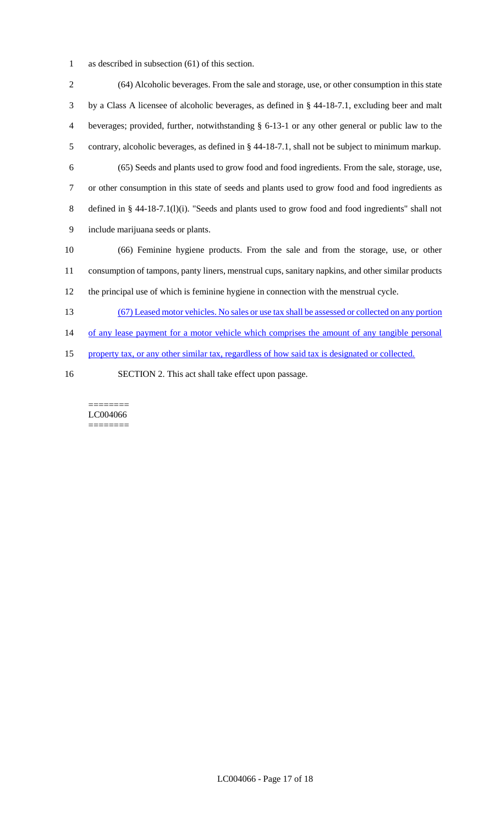as described in subsection (61) of this section.

 (64) Alcoholic beverages. From the sale and storage, use, or other consumption in this state by a Class A licensee of alcoholic beverages, as defined in § 44-18-7.1, excluding beer and malt beverages; provided, further, notwithstanding § 6-13-1 or any other general or public law to the contrary, alcoholic beverages, as defined in § 44-18-7.1, shall not be subject to minimum markup. (65) Seeds and plants used to grow food and food ingredients. From the sale, storage, use, or other consumption in this state of seeds and plants used to grow food and food ingredients as defined in § 44-18-7.1(l)(i). "Seeds and plants used to grow food and food ingredients" shall not include marijuana seeds or plants. (66) Feminine hygiene products. From the sale and from the storage, use, or other consumption of tampons, panty liners, menstrual cups, sanitary napkins, and other similar products the principal use of which is feminine hygiene in connection with the menstrual cycle. (67) Leased motor vehicles. No sales or use tax shall be assessed or collected on any portion 14 of any lease payment for a motor vehicle which comprises the amount of any tangible personal property tax, or any other similar tax, regardless of how said tax is designated or collected.

SECTION 2. This act shall take effect upon passage.

======== LC004066 ========